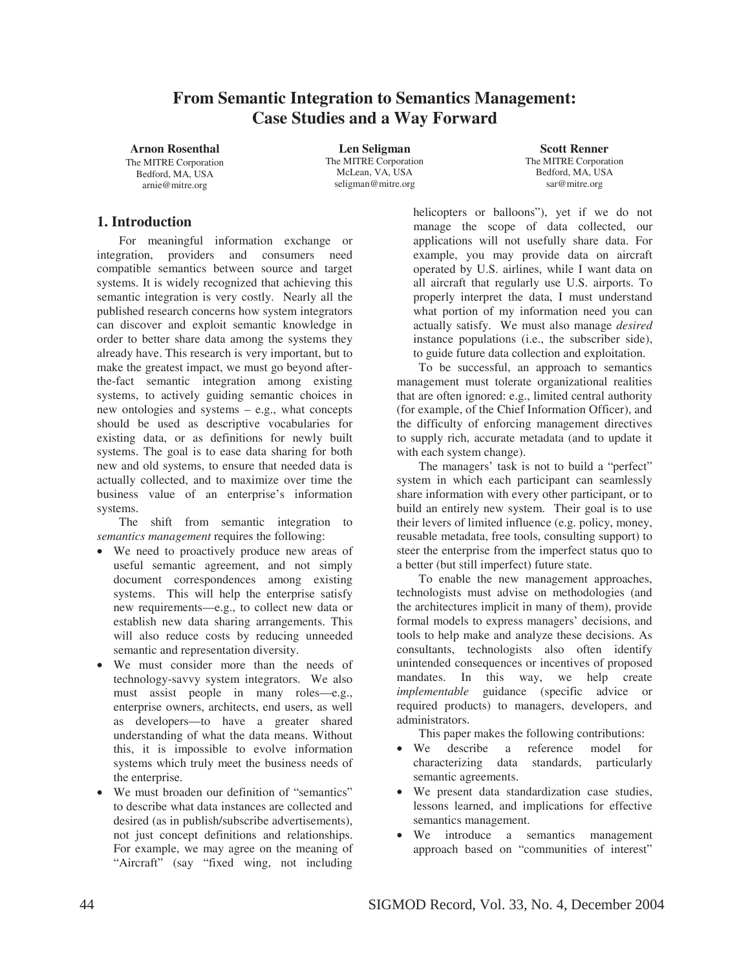# **From Semantic Integration to Semantics Management: Case Studies and a Way Forward**

**Arnon Rosenthal** The MITRE Corporation Bedford, MA, USA arnie@mitre.org

**Len Seligman**  The MITRE Corporation McLean, VA, USA seligman@mitre.org

**Scott Renner**  The MITRE Corporation Bedford, MA, USA sar@mitre.org

# **1. Introduction**

For meaningful information exchange or integration, providers and consumers need compatible semantics between source and target systems. It is widely recognized that achieving this semantic integration is very costly. Nearly all the published research concerns how system integrators can discover and exploit semantic knowledge in order to better share data among the systems they already have. This research is very important, but to make the greatest impact, we must go beyond afterthe-fact semantic integration among existing systems, to actively guiding semantic choices in new ontologies and systems – e.g., what concepts should be used as descriptive vocabularies for existing data, or as definitions for newly built systems. The goal is to ease data sharing for both new and old systems, to ensure that needed data is actually collected, and to maximize over time the business value of an enterprise's information systems.

The shift from semantic integration to *semantics management* requires the following:

- We need to proactively produce new areas of useful semantic agreement, and not simply document correspondences among existing systems. This will help the enterprise satisfy new requirements—e.g., to collect new data or establish new data sharing arrangements. This will also reduce costs by reducing unneeded semantic and representation diversity.
- We must consider more than the needs of technology-savvy system integrators. We also must assist people in many roles—e.g., enterprise owners, architects, end users, as well as developers—to have a greater shared understanding of what the data means. Without this, it is impossible to evolve information systems which truly meet the business needs of the enterprise.
- We must broaden our definition of "semantics" to describe what data instances are collected and desired (as in publish/subscribe advertisements), not just concept definitions and relationships. For example, we may agree on the meaning of "Aircraft" (say "fixed wing, not including

helicopters or balloons"), yet if we do not manage the scope of data collected, our applications will not usefully share data. For example, you may provide data on aircraft operated by U.S. airlines, while I want data on all aircraft that regularly use U.S. airports. To properly interpret the data, I must understand what portion of my information need you can actually satisfy. We must also manage *desired* instance populations (i.e., the subscriber side), to guide future data collection and exploitation.

To be successful, an approach to semantics management must tolerate organizational realities that are often ignored: e.g., limited central authority (for example, of the Chief Information Officer), and the difficulty of enforcing management directives to supply rich, accurate metadata (and to update it with each system change).

The managers' task is not to build a "perfect" system in which each participant can seamlessly share information with every other participant, or to build an entirely new system. Their goal is to use their levers of limited influence (e.g. policy, money, reusable metadata, free tools, consulting support) to steer the enterprise from the imperfect status quo to a better (but still imperfect) future state.

To enable the new management approaches, technologists must advise on methodologies (and the architectures implicit in many of them), provide formal models to express managers' decisions, and tools to help make and analyze these decisions. As consultants, technologists also often identify unintended consequences or incentives of proposed mandates. In this way, we help create *implementable* guidance (specific advice or required products) to managers, developers, and administrators.

This paper makes the following contributions:

- We describe a reference model for characterizing data standards, particularly semantic agreements.
- We present data standardization case studies, lessons learned, and implications for effective semantics management.
- We introduce a semantics management approach based on "communities of interest"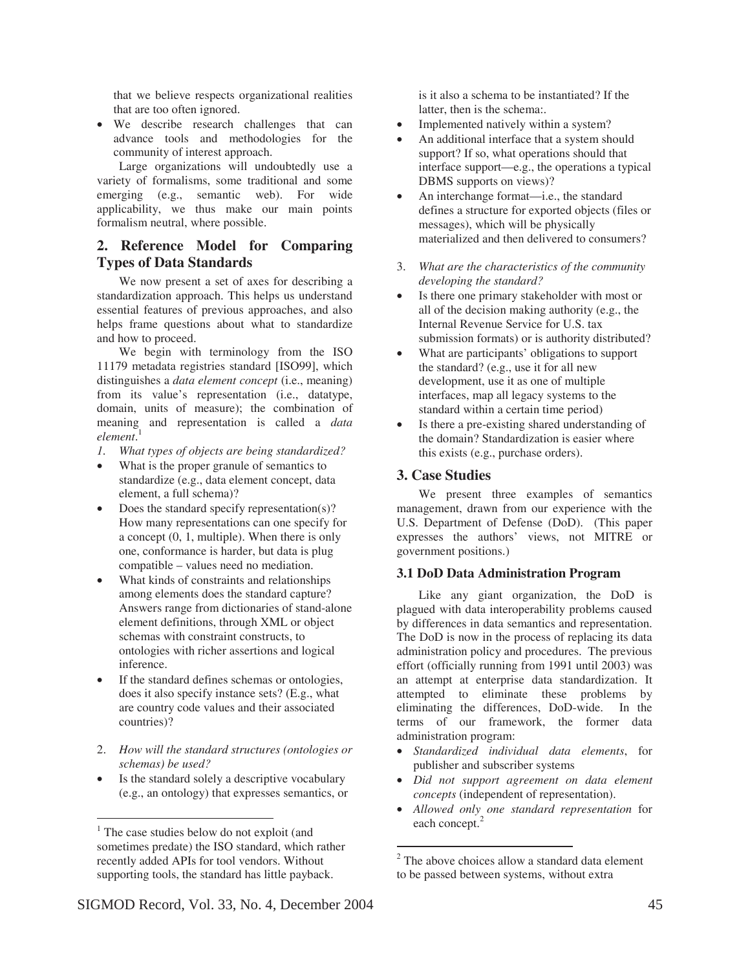that we believe respects organizational realities that are too often ignored.

• We describe research challenges that can advance tools and methodologies for the community of interest approach.

Large organizations will undoubtedly use a variety of formalisms, some traditional and some emerging (e.g., semantic web). For wide applicability, we thus make our main points formalism neutral, where possible.

# **2. Reference Model for Comparing Types of Data Standards**

We now present a set of axes for describing a standardization approach. This helps us understand essential features of previous approaches, and also helps frame questions about what to standardize and how to proceed.

We begin with terminology from the ISO 11179 metadata registries standard [ISO99], which distinguishes a *data element concept* (i.e., meaning) from its value's representation (i.e., datatype, domain, units of measure); the combination of meaning and representation is called a *data element*. 1

*1. What types of objects are being standardized?* 

- What is the proper granule of semantics to standardize (e.g., data element concept, data element, a full schema)?
- Does the standard specify representation(s)? How many representations can one specify for a concept (0, 1, multiple). When there is only one, conformance is harder, but data is plug compatible – values need no mediation.
- What kinds of constraints and relationships among elements does the standard capture? Answers range from dictionaries of stand-alone element definitions, through XML or object schemas with constraint constructs, to ontologies with richer assertions and logical inference.
- If the standard defines schemas or ontologies, does it also specify instance sets? (E.g., what are country code values and their associated countries)?
- 2. *How will the standard structures (ontologies or schemas) be used?*
- Is the standard solely a descriptive vocabulary (e.g., an ontology) that expresses semantics, or

 $\overline{a}$ 

is it also a schema to be instantiated? If the latter, then is the schema:.

- Implemented natively within a system?
- An additional interface that a system should support? If so, what operations should that interface support—e.g., the operations a typical DBMS supports on views)?
- An interchange format—i.e., the standard defines a structure for exported objects (files or messages), which will be physically materialized and then delivered to consumers?
- 3. *What are the characteristics of the community developing the standard?*
- Is there one primary stakeholder with most or all of the decision making authority (e.g., the Internal Revenue Service for U.S. tax submission formats) or is authority distributed?
- What are participants' obligations to support the standard? (e.g., use it for all new development, use it as one of multiple interfaces, map all legacy systems to the standard within a certain time period)
- Is there a pre-existing shared understanding of the domain? Standardization is easier where this exists (e.g., purchase orders).

### **3. Case Studies**

 $\overline{a}$ 

We present three examples of semantics management, drawn from our experience with the U.S. Department of Defense (DoD). (This paper expresses the authors' views, not MITRE or government positions.)

#### **3.1 DoD Data Administration Program**

Like any giant organization, the DoD is plagued with data interoperability problems caused by differences in data semantics and representation. The DoD is now in the process of replacing its data administration policy and procedures. The previous effort (officially running from 1991 until 2003) was an attempt at enterprise data standardization. It attempted to eliminate these problems by eliminating the differences, DoD-wide. In the terms of our framework, the former data administration program:

- *Standardized individual data elements*, for publisher and subscriber systems
- *Did not support agreement on data element concepts* (independent of representation).
- *Allowed only one standard representation* for each concept.<sup>2</sup>

<sup>&</sup>lt;sup>1</sup> The case studies below do not exploit (and sometimes predate) the ISO standard, which rather recently added APIs for tool vendors. Without supporting tools, the standard has little payback.

 $2^2$  The above choices allow a standard data element to be passed between systems, without extra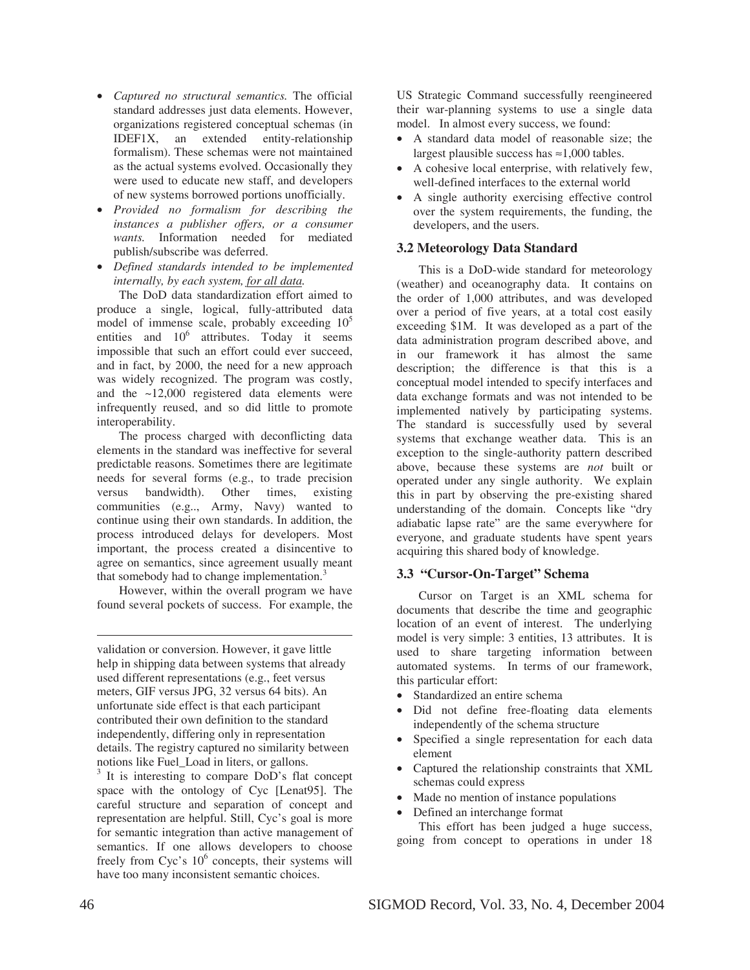- *Captured no structural semantics.* The official standard addresses just data elements. However, organizations registered conceptual schemas (in IDEF1X, an extended entity-relationship formalism). These schemas were not maintained as the actual systems evolved. Occasionally they were used to educate new staff, and developers of new systems borrowed portions unofficially.
- *Provided no formalism for describing the instances a publisher offers, or a consumer wants.* Information needed for mediated publish/subscribe was deferred.
- *Defined standards intended to be implemented internally, by each system, for all data.*

The DoD data standardization effort aimed to produce a single, logical, fully-attributed data model of immense scale, probably exceeding  $10^5$ entities and  $10^6$  attributes. Today it seems impossible that such an effort could ever succeed, and in fact, by 2000, the need for a new approach was widely recognized. The program was costly, and the ~12,000 registered data elements were infrequently reused, and so did little to promote interoperability.

The process charged with deconflicting data elements in the standard was ineffective for several predictable reasons. Sometimes there are legitimate needs for several forms (e.g., to trade precision versus bandwidth). Other times, existing communities (e.g.., Army, Navy) wanted to continue using their own standards. In addition, the process introduced delays for developers. Most important, the process created a disincentive to agree on semantics, since agreement usually meant that somebody had to change implementation.<sup>3</sup>

However, within the overall program we have found several pockets of success. For example, the

validation or conversion. However, it gave little help in shipping data between systems that already used different representations (e.g., feet versus meters, GIF versus JPG, 32 versus 64 bits). An unfortunate side effect is that each participant contributed their own definition to the standard independently, differing only in representation details. The registry captured no similarity between notions like Fuel\_Load in liters, or gallons.

<sup>3</sup> It is interesting to compare DoD's flat concept space with the ontology of Cyc [Lenat95]. The careful structure and separation of concept and representation are helpful. Still, Cyc's goal is more for semantic integration than active management of semantics. If one allows developers to choose freely from Cyc's  $10^6$  concepts, their systems will have too many inconsistent semantic choices.

US Strategic Command successfully reengineered their war-planning systems to use a single data model. In almost every success, we found:

- A standard data model of reasonable size; the largest plausible success has  $\approx$ 1,000 tables.
- A cohesive local enterprise, with relatively few, well-defined interfaces to the external world
- A single authority exercising effective control over the system requirements, the funding, the developers, and the users.

#### **3.2 Meteorology Data Standard**

This is a DoD-wide standard for meteorology (weather) and oceanography data. It contains on the order of 1,000 attributes, and was developed over a period of five years, at a total cost easily exceeding \$1M. It was developed as a part of the data administration program described above, and in our framework it has almost the same description; the difference is that this is a conceptual model intended to specify interfaces and data exchange formats and was not intended to be implemented natively by participating systems. The standard is successfully used by several systems that exchange weather data. This is an exception to the single-authority pattern described above, because these systems are *not* built or operated under any single authority. We explain this in part by observing the pre-existing shared understanding of the domain. Concepts like "dry adiabatic lapse rate" are the same everywhere for everyone, and graduate students have spent years acquiring this shared body of knowledge.

#### **3.3 "Cursor-On-Target" Schema**

Cursor on Target is an XML schema for documents that describe the time and geographic location of an event of interest. The underlying model is very simple: 3 entities, 13 attributes. It is used to share targeting information between automated systems. In terms of our framework, this particular effort:

- Standardized an entire schema
- Did not define free-floating data elements independently of the schema structure
- Specified a single representation for each data element
- Captured the relationship constraints that XML schemas could express
- Made no mention of instance populations
- Defined an interchange format

This effort has been judged a huge success, going from concept to operations in under 18

 $\overline{a}$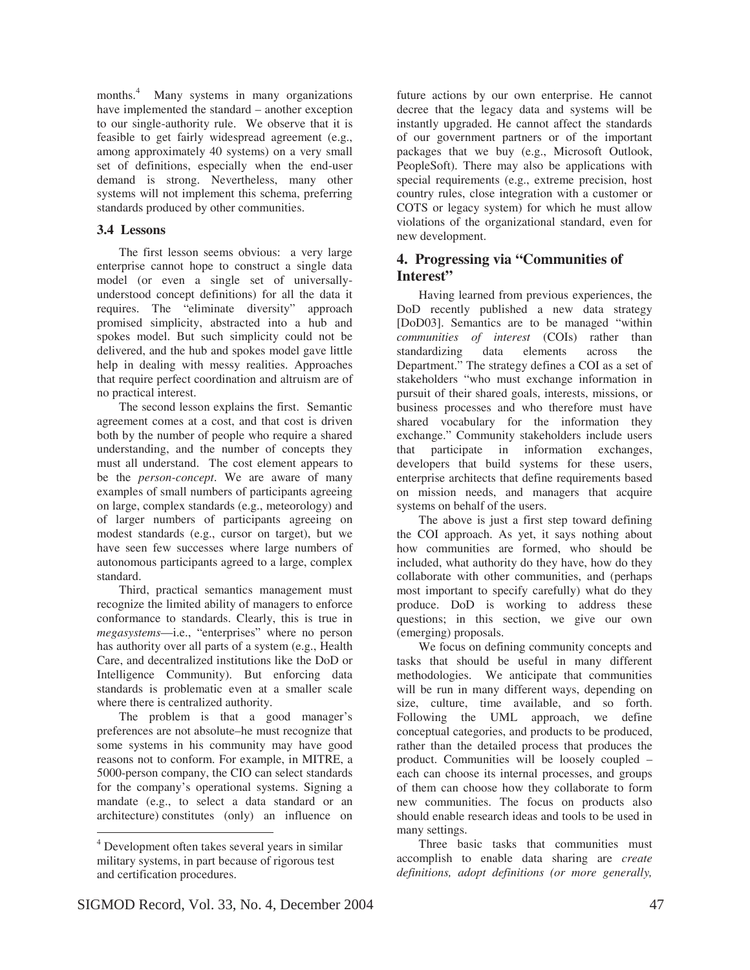months.<sup>4</sup> Many systems in many organizations have implemented the standard – another exception to our single-authority rule. We observe that it is feasible to get fairly widespread agreement (e.g., among approximately 40 systems) on a very small set of definitions, especially when the end-user demand is strong. Nevertheless, many other systems will not implement this schema, preferring standards produced by other communities.

### **3.4 Lessons**

The first lesson seems obvious: a very large enterprise cannot hope to construct a single data model (or even a single set of universallyunderstood concept definitions) for all the data it requires. The "eliminate diversity" approach promised simplicity, abstracted into a hub and spokes model. But such simplicity could not be delivered, and the hub and spokes model gave little help in dealing with messy realities. Approaches that require perfect coordination and altruism are of no practical interest.

The second lesson explains the first. Semantic agreement comes at a cost, and that cost is driven both by the number of people who require a shared understanding, and the number of concepts they must all understand. The cost element appears to be the *person-concept*. We are aware of many examples of small numbers of participants agreeing on large, complex standards (e.g., meteorology) and of larger numbers of participants agreeing on modest standards (e.g., cursor on target), but we have seen few successes where large numbers of autonomous participants agreed to a large, complex standard.

Third, practical semantics management must recognize the limited ability of managers to enforce conformance to standards. Clearly, this is true in *megasystems*—i.e., "enterprises" where no person has authority over all parts of a system (e.g., Health Care, and decentralized institutions like the DoD or Intelligence Community). But enforcing data standards is problematic even at a smaller scale where there is centralized authority.

The problem is that a good manager's preferences are not absolute–he must recognize that some systems in his community may have good reasons not to conform. For example, in MITRE, a 5000-person company, the CIO can select standards for the company's operational systems. Signing a mandate (e.g., to select a data standard or an architecture) constitutes (only) an influence on

 $\overline{a}$ 

future actions by our own enterprise. He cannot decree that the legacy data and systems will be instantly upgraded. He cannot affect the standards of our government partners or of the important packages that we buy (e.g., Microsoft Outlook, PeopleSoft). There may also be applications with special requirements (e.g., extreme precision, host country rules, close integration with a customer or COTS or legacy system) for which he must allow violations of the organizational standard, even for new development.

# **4. Progressing via "Communities of Interest"**

Having learned from previous experiences, the DoD recently published a new data strategy [DoD03]. Semantics are to be managed "within *communities of interest* (COIs) rather than standardizing data elements across the Department." The strategy defines a COI as a set of stakeholders "who must exchange information in pursuit of their shared goals, interests, missions, or business processes and who therefore must have shared vocabulary for the information they exchange." Community stakeholders include users that participate in information exchanges, developers that build systems for these users, enterprise architects that define requirements based on mission needs, and managers that acquire systems on behalf of the users.

The above is just a first step toward defining the COI approach. As yet, it says nothing about how communities are formed, who should be included, what authority do they have, how do they collaborate with other communities, and (perhaps most important to specify carefully) what do they produce. DoD is working to address these questions; in this section, we give our own (emerging) proposals.

We focus on defining community concepts and tasks that should be useful in many different methodologies. We anticipate that communities will be run in many different ways, depending on size, culture, time available, and so forth. Following the UML approach, we define conceptual categories, and products to be produced, rather than the detailed process that produces the product. Communities will be loosely coupled – each can choose its internal processes, and groups of them can choose how they collaborate to form new communities. The focus on products also should enable research ideas and tools to be used in many settings.

Three basic tasks that communities must accomplish to enable data sharing are *create definitions, adopt definitions (or more generally,* 

<sup>4</sup> Development often takes several years in similar military systems, in part because of rigorous test and certification procedures.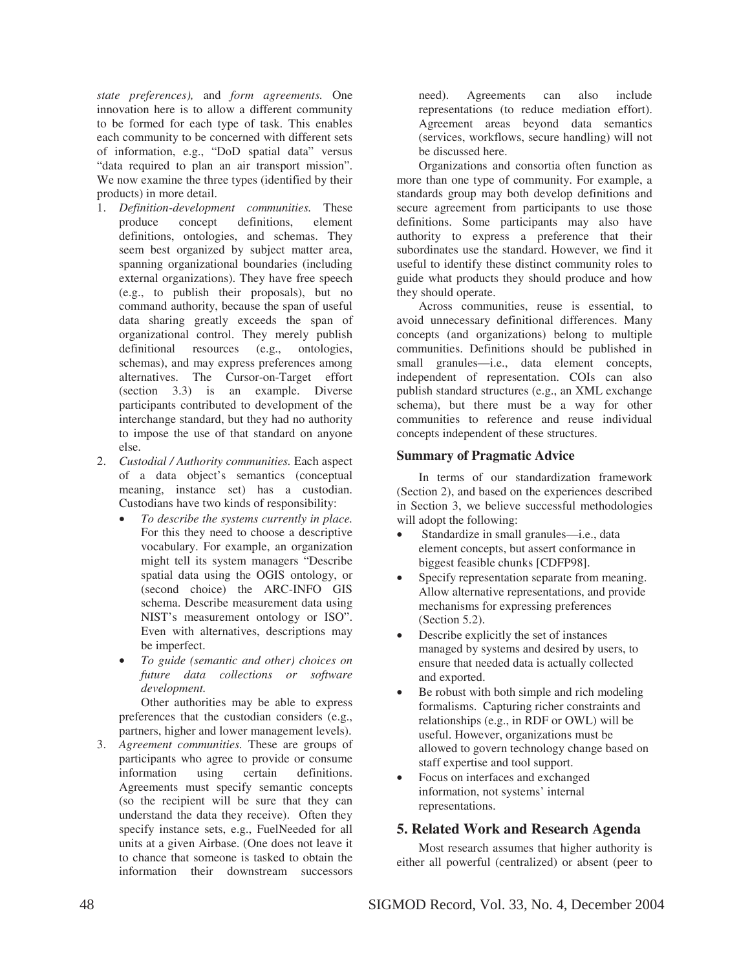*state preferences),* and *form agreements.* One innovation here is to allow a different community to be formed for each type of task. This enables each community to be concerned with different sets of information, e.g., "DoD spatial data" versus "data required to plan an air transport mission". We now examine the three types (identified by their products) in more detail.

- 1. *Definition-development communities.* These produce concept definitions, element definitions, ontologies, and schemas. They seem best organized by subject matter area, spanning organizational boundaries (including external organizations). They have free speech (e.g., to publish their proposals), but no command authority, because the span of useful data sharing greatly exceeds the span of organizational control. They merely publish definitional resources (e.g., ontologies, schemas), and may express preferences among alternatives. The Cursor-on-Target effort (section 3.3) is an example. Diverse participants contributed to development of the interchange standard, but they had no authority to impose the use of that standard on anyone else.
- 2. *Custodial / Authority communities.* Each aspect of a data object's semantics (conceptual meaning, instance set) has a custodian. Custodians have two kinds of responsibility:
	- *To describe the systems currently in place.*  For this they need to choose a descriptive vocabulary. For example, an organization might tell its system managers "Describe spatial data using the OGIS ontology, or (second choice) the ARC-INFO GIS schema. Describe measurement data using NIST's measurement ontology or ISO". Even with alternatives, descriptions may be imperfect.
	- *To guide (semantic and other) choices on future data collections or software development.*

Other authorities may be able to express preferences that the custodian considers (e.g., partners, higher and lower management levels).

3. *Agreement communities.* These are groups of participants who agree to provide or consume information using certain definitions. Agreements must specify semantic concepts (so the recipient will be sure that they can understand the data they receive). Often they specify instance sets, e.g., FuelNeeded for all units at a given Airbase. (One does not leave it to chance that someone is tasked to obtain the information their downstream successors

need). Agreements can also include representations (to reduce mediation effort). Agreement areas beyond data semantics (services, workflows, secure handling) will not be discussed here.

Organizations and consortia often function as more than one type of community. For example, a standards group may both develop definitions and secure agreement from participants to use those definitions. Some participants may also have authority to express a preference that their subordinates use the standard. However, we find it useful to identify these distinct community roles to guide what products they should produce and how they should operate.

Across communities, reuse is essential, to avoid unnecessary definitional differences. Many concepts (and organizations) belong to multiple communities. Definitions should be published in small granules—i.e., data element concepts, independent of representation. COIs can also publish standard structures (e.g., an XML exchange schema), but there must be a way for other communities to reference and reuse individual concepts independent of these structures.

#### **Summary of Pragmatic Advice**

In terms of our standardization framework (Section 2), and based on the experiences described in Section 3, we believe successful methodologies will adopt the following:

- Standardize in small granules—i.e., data element concepts, but assert conformance in biggest feasible chunks [CDFP98].
- Specify representation separate from meaning. Allow alternative representations, and provide mechanisms for expressing preferences (Section 5.2).
- Describe explicitly the set of instances managed by systems and desired by users, to ensure that needed data is actually collected and exported.
- Be robust with both simple and rich modeling formalisms. Capturing richer constraints and relationships (e.g., in RDF or OWL) will be useful. However, organizations must be allowed to govern technology change based on staff expertise and tool support.
- Focus on interfaces and exchanged information, not systems' internal representations.

# **5. Related Work and Research Agenda**

Most research assumes that higher authority is either all powerful (centralized) or absent (peer to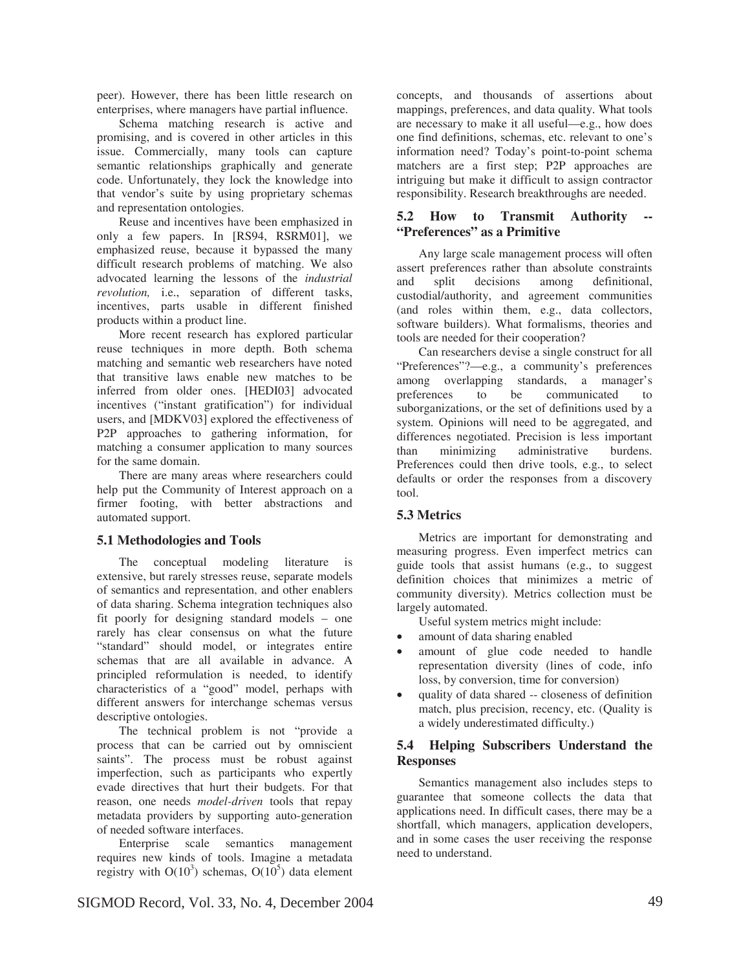peer). However, there has been little research on enterprises, where managers have partial influence.

Schema matching research is active and promising, and is covered in other articles in this issue. Commercially, many tools can capture semantic relationships graphically and generate code. Unfortunately, they lock the knowledge into that vendor's suite by using proprietary schemas and representation ontologies.

Reuse and incentives have been emphasized in only a few papers. In [RS94, RSRM01], we emphasized reuse, because it bypassed the many difficult research problems of matching. We also advocated learning the lessons of the *industrial revolution,* i.e., separation of different tasks, incentives, parts usable in different finished products within a product line.

More recent research has explored particular reuse techniques in more depth. Both schema matching and semantic web researchers have noted that transitive laws enable new matches to be inferred from older ones. [HEDI03] advocated incentives ("instant gratification") for individual users, and [MDKV03] explored the effectiveness of P2P approaches to gathering information, for matching a consumer application to many sources for the same domain.

There are many areas where researchers could help put the Community of Interest approach on a firmer footing, with better abstractions and automated support.

#### **5.1 Methodologies and Tools**

The conceptual modeling literature is extensive, but rarely stresses reuse, separate models of semantics and representation, and other enablers of data sharing. Schema integration techniques also fit poorly for designing standard models – one rarely has clear consensus on what the future "standard" should model, or integrates entire schemas that are all available in advance. A principled reformulation is needed, to identify characteristics of a "good" model, perhaps with different answers for interchange schemas versus descriptive ontologies.

The technical problem is not "provide a process that can be carried out by omniscient saints". The process must be robust against imperfection, such as participants who expertly evade directives that hurt their budgets. For that reason, one needs *model-driven* tools that repay metadata providers by supporting auto-generation of needed software interfaces.

Enterprise scale semantics management requires new kinds of tools. Imagine a metadata registry with  $O(10^3)$  schemas,  $O(10^5)$  data element

concepts, and thousands of assertions about mappings, preferences, and data quality. What tools are necessary to make it all useful—e.g., how does one find definitions, schemas, etc. relevant to one's information need? Today's point-to-point schema matchers are a first step; P2P approaches are intriguing but make it difficult to assign contractor responsibility. Research breakthroughs are needed.

### **5.2 How to Transmit Authority -- "Preferences" as a Primitive**

Any large scale management process will often assert preferences rather than absolute constraints and split decisions among definitional, custodial/authority, and agreement communities (and roles within them, e.g., data collectors, software builders). What formalisms, theories and tools are needed for their cooperation?

Can researchers devise a single construct for all "Preferences"?—e.g., a community's preferences among overlapping standards, a manager's preferences to be communicated to suborganizations, or the set of definitions used by a system. Opinions will need to be aggregated, and differences negotiated. Precision is less important than minimizing administrative burdens. Preferences could then drive tools, e.g., to select defaults or order the responses from a discovery tool.

### **5.3 Metrics**

Metrics are important for demonstrating and measuring progress. Even imperfect metrics can guide tools that assist humans (e.g., to suggest definition choices that minimizes a metric of community diversity). Metrics collection must be largely automated.

Useful system metrics might include:

- amount of data sharing enabled
- amount of glue code needed to handle representation diversity (lines of code, info loss, by conversion, time for conversion)
- quality of data shared -- closeness of definition match, plus precision, recency, etc. (Quality is a widely underestimated difficulty.)

### **5.4 Helping Subscribers Understand the Responses**

Semantics management also includes steps to guarantee that someone collects the data that applications need. In difficult cases, there may be a shortfall, which managers, application developers, and in some cases the user receiving the response need to understand.